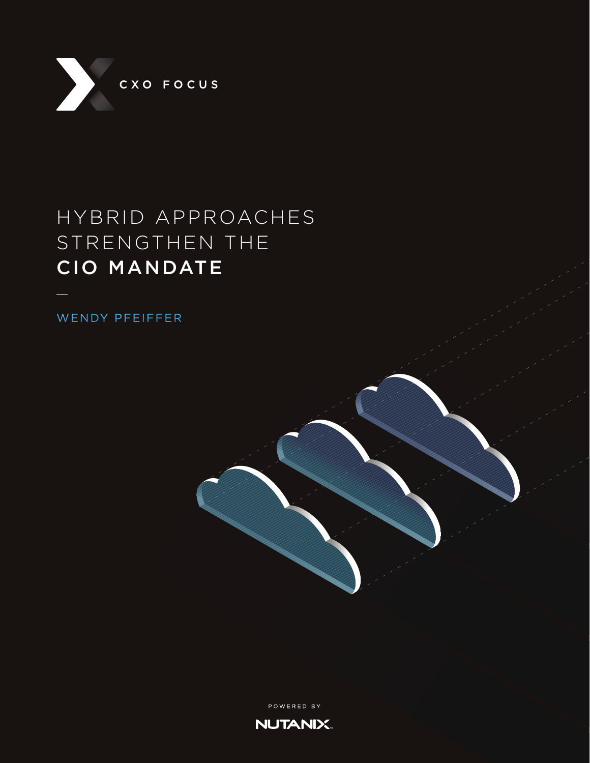

## HYBRID APPROACHES STRENGTHEN THE CIO MANDATE

WENDY PFEIFFER

POWERED BY **NUTANIX.**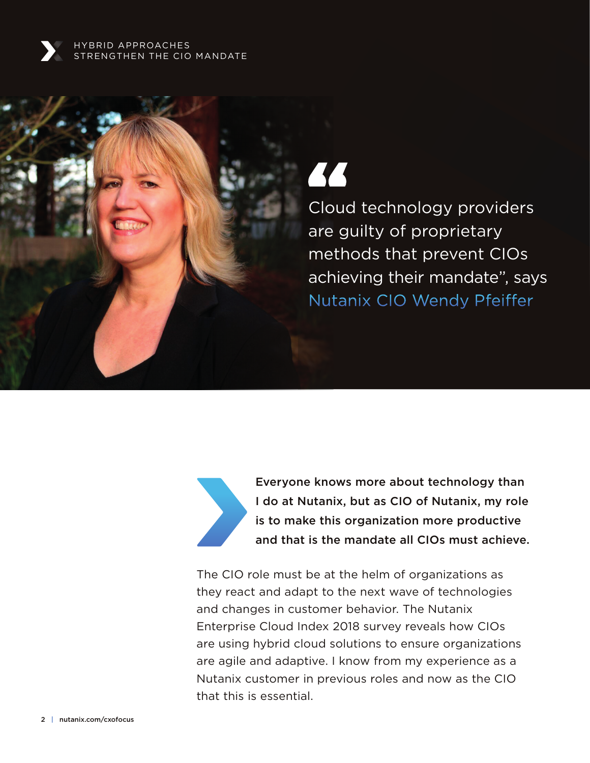

44

Cloud technology providers are guilty of proprietary methods that prevent CIOs achieving their mandate", says Nutanix CIO Wendy Pfeiffer



Everyone knows more about technology than I do at Nutanix, but as CIO of Nutanix, my role is to make this organization more productive and that is the mandate all CIOs must achieve.

The CIO role must be at the helm of organizations as they react and adapt to the next wave of technologies and changes in customer behavior. The Nutanix Enterprise Cloud Index 2018 survey reveals how CIOs are using hybrid cloud solutions to ensure organizations are agile and adaptive. I know from my experience as a Nutanix customer in previous roles and now as the CIO that this is essential.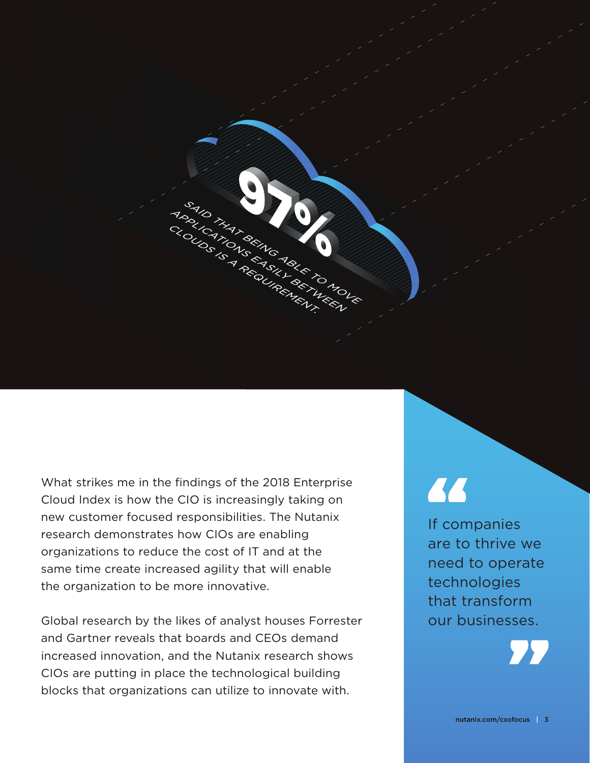

What strikes me in the findings of the 2018 Enterprise Cloud Index is how the CIO is increasingly taking on new customer focused responsibilities. The Nutanix research demonstrates how CIOs are enabling organizations to reduce the cost of IT and at the same time create increased agility that will enable the organization to be more innovative.

Global research by the likes of analyst houses Forrester and Gartner reveals that boards and CEOs demand increased innovation, and the Nutanix research shows CIOs are putting in place the technological building blocks that organizations can utilize to innovate with.

# 77

If companies are to thrive we need to operate technologies that transform our businesses.

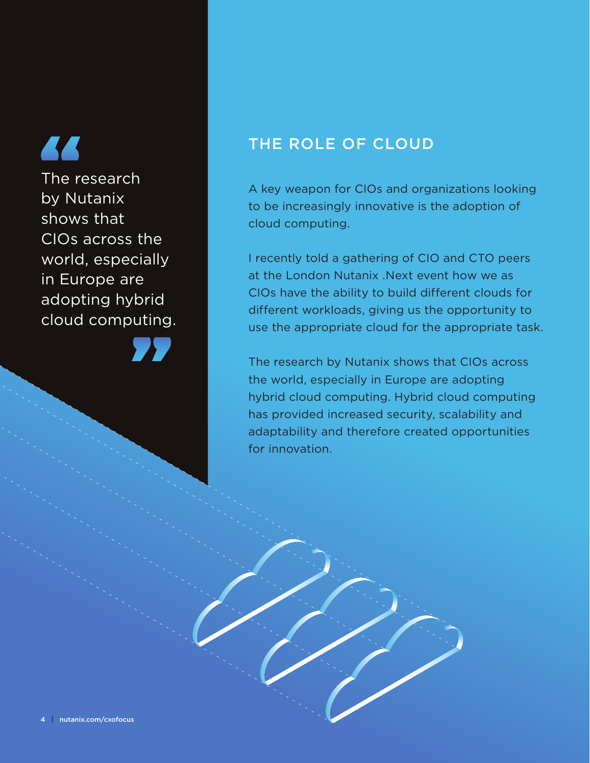The research by Nutanix shows that CIOs across the world, especially in Europe are adopting hybrid cloud computing.

#### THE ROLE OF CLOUD

A key weapon for CIOs and organizations looking to be increasingly innovative is the adoption of cloud computing.

I recently told a gathering of CIO and CTO peers at the London Nutanix .Next event how we as CIOs have the ability to build different clouds for different workloads, giving us the opportunity to use the appropriate cloud for the appropriate task.

The research by Nutanix shows that CIOs across the world, especially in Europe are adopting hybrid cloud computing. Hybrid cloud computing has provided increased security, scalability and adaptability and therefore created opportunities for innovation.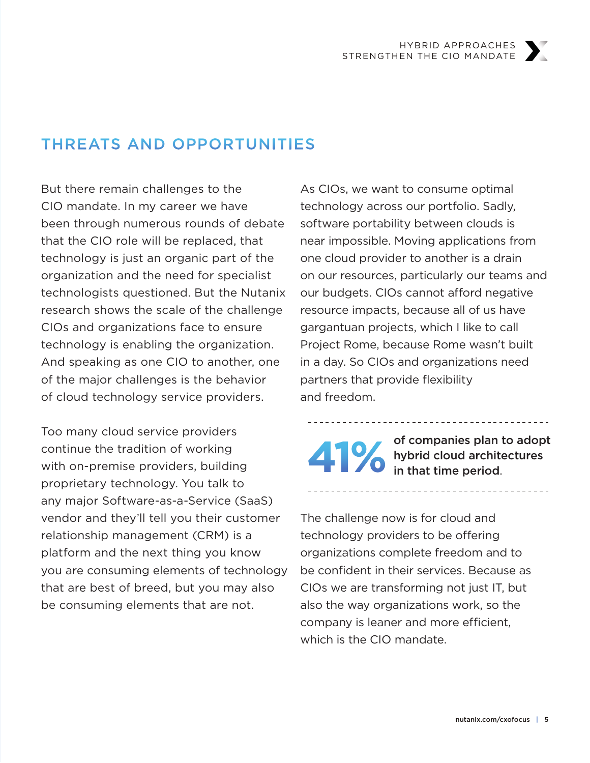#### THREATS AND OPPORTUNITIES

But there remain challenges to the CIO mandate. In my career we have been through numerous rounds of debate that the CIO role will be replaced, that technology is just an organic part of the organization and the need for specialist technologists questioned. But the Nutanix research shows the scale of the challenge CIOs and organizations face to ensure technology is enabling the organization. And speaking as one CIO to another, one of the major challenges is the behavior of cloud technology service providers.

Too many cloud service providers continue the tradition of working with on-premise providers, building proprietary technology. You talk to any major Software-as-a-Service (SaaS) vendor and they'll tell you their customer relationship management (CRM) is a platform and the next thing you know you are consuming elements of technology that are best of breed, but you may also be consuming elements that are not.

As CIOs, we want to consume optimal technology across our portfolio. Sadly, software portability between clouds is near impossible. Moving applications from one cloud provider to another is a drain on our resources, particularly our teams and our budgets. CIOs cannot afford negative resource impacts, because all of us have gargantuan projects, which I like to call Project Rome, because Rome wasn't built in a day. So CIOs and organizations need partners that provide flexibility and freedom.

of companies plan to adopt **41%** hybrid cloud architectures

-----------------------

The challenge now is for cloud and technology providers to be offering organizations complete freedom and to be confident in their services. Because as CIOs we are transforming not just IT, but also the way organizations work, so the company is leaner and more efficient, which is the CIO mandate.